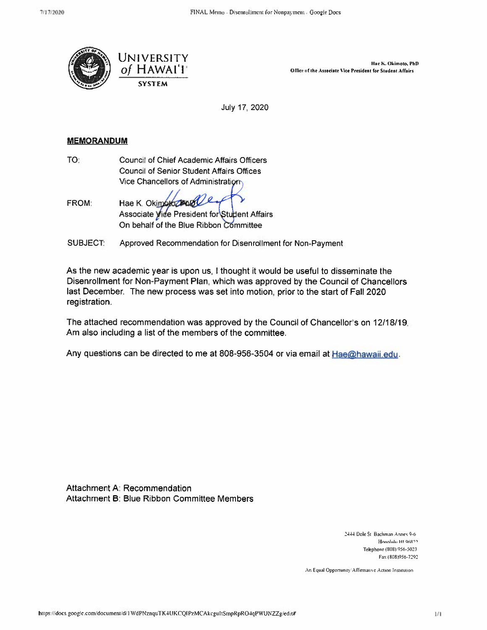

Hae K. Okimoto, PhD Office of the Associate Vice President for Student Affairs

July 17, 2020

### **MEMORANDUM**

TO: Council of Chief Academic Affairs Officers **Council of Senior Student Affairs Offices** Vice Chancellors of Administration

**FROM:** Hae K. Okimbiozener Associate Vide President for Student Affairs On behalf of the Blue Ribbon Committee

**SUBJECT.** Approved Recommendation for Disenrollment for Non-Payment

As the new academic year is upon us, I thought it would be useful to disseminate the Disenrollment for Non-Payment Plan, which was approved by the Council of Chancellors last December. The new process was set into motion, prior to the start of Fall 2020 registration.

The attached recommendation was approved by the Council of Chancellor's on 12/18/19. Am also including a list of the members of the committee.

Any questions can be directed to me at 808-956-3504 or via email at Hae@hawaii.edu.

Attachment A: Recommendation Attachment B: Blue Ribbon Committee Members

> 2444 Dole St. Bachman Annex 9-6 Honolulu HI 96822 Telephone (808) 956-5023 Fax (808)956-7292

An Equal Opportunity/Affirmative Action Institution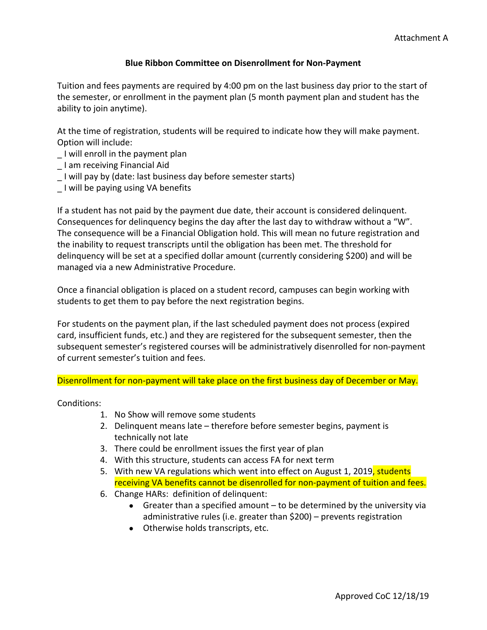## **Blue Ribbon Committee on Disenrollment for Non-Payment**

Tuition and fees payments are required by 4:00 pm on the last business day prior to the start of the semester, or enrollment in the payment plan (5 month payment plan and student has the ability to join anytime).

At the time of registration, students will be required to indicate how they will make payment. Option will include:

- \_ I will enroll in the payment plan
- \_ I am receiving Financial Aid
- \_ I will pay by (date: last business day before semester starts)
- \_ I will be paying using VA benefits

If a student has not paid by the payment due date, their account is considered delinquent. Consequences for delinquency begins the day after the last day to withdraw without a "W". The consequence will be a Financial Obligation hold. This will mean no future registration and the inability to request transcripts until the obligation has been met. The threshold for delinquency will be set at a specified dollar amount (currently considering \$200) and will be managed via a new Administrative Procedure.

Once a financial obligation is placed on a student record, campuses can begin working with students to get them to pay before the next registration begins.

For students on the payment plan, if the last scheduled payment does not process (expired card, insufficient funds, etc.) and they are registered for the subsequent semester, then the subsequent semester's registered courses will be administratively disenrolled for non-payment of current semester's tuition and fees.

Disenrollment for non-payment will take place on the first business day of December or May.

Conditions:

- 1. No Show will remove some students
- 2. Delinquent means late therefore before semester begins, payment is technically not late
- 3. There could be enrollment issues the first year of plan
- 4. With this structure, students can access FA for next term
- 5. With new VA regulations which went into effect on August 1, 2019, students receiving VA benefits cannot be disenrolled for non-payment of tuition and fees.
- 6. Change HARs: definition of delinquent:
	- $\bullet$  Greater than a specified amount  $-$  to be determined by the university via administrative rules (i.e. greater than \$200) – prevents registration
	- Otherwise holds transcripts, etc.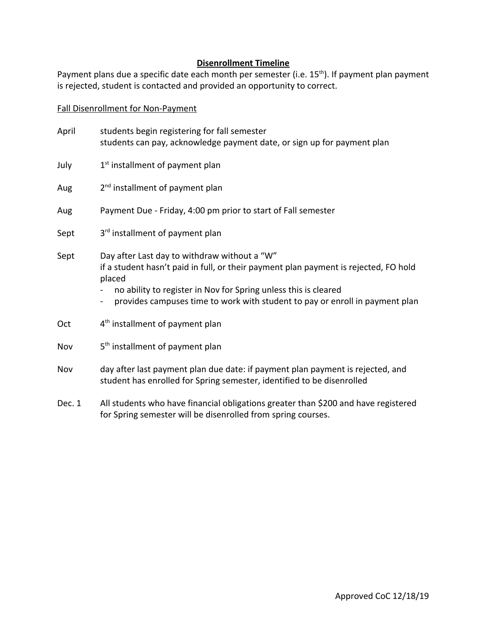## **Disenrollment Timeline**

Payment plans due a specific date each month per semester (i.e. 15<sup>th</sup>). If payment plan payment is rejected, student is contacted and provided an opportunity to correct.

Fall Disenrollment for Non-Payment

| April | students begin registering for fall semester<br>students can pay, acknowledge payment date, or sign up for payment plan                                                                                                                                                                                             |
|-------|---------------------------------------------------------------------------------------------------------------------------------------------------------------------------------------------------------------------------------------------------------------------------------------------------------------------|
| July  | 1 <sup>st</sup> installment of payment plan                                                                                                                                                                                                                                                                         |
| Aug   | 2 <sup>nd</sup> installment of payment plan                                                                                                                                                                                                                                                                         |
| Aug   | Payment Due - Friday, 4:00 pm prior to start of Fall semester                                                                                                                                                                                                                                                       |
| Sept  | 3rd installment of payment plan                                                                                                                                                                                                                                                                                     |
| Sept  | Day after Last day to withdraw without a "W"<br>if a student hasn't paid in full, or their payment plan payment is rejected, FO hold<br>placed<br>no ability to register in Nov for Spring unless this is cleared<br>provides campuses time to work with student to pay or enroll in payment plan<br>$\blacksquare$ |
| Oct   | 4 <sup>th</sup> installment of payment plan                                                                                                                                                                                                                                                                         |
| Nov   | 5 <sup>th</sup> installment of payment plan                                                                                                                                                                                                                                                                         |
| Nov   | day after last payment plan due date: if payment plan payment is rejected, and<br>student has enrolled for Spring semester, identified to be disenrolled                                                                                                                                                            |

Dec. 1 All students who have financial obligations greater than \$200 and have registered for Spring semester will be disenrolled from spring courses.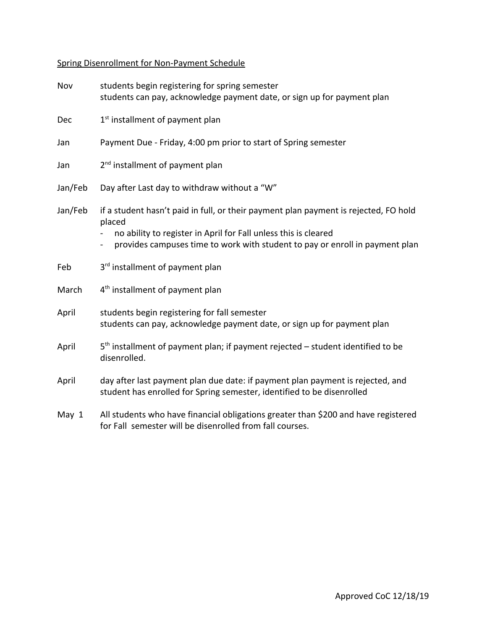# Spring Disenrollment for Non-Payment Schedule

| Nov     | students begin registering for spring semester<br>students can pay, acknowledge payment date, or sign up for payment plan                                |
|---------|----------------------------------------------------------------------------------------------------------------------------------------------------------|
| Dec     | 1 <sup>st</sup> installment of payment plan                                                                                                              |
| Jan     | Payment Due - Friday, 4:00 pm prior to start of Spring semester                                                                                          |
| Jan     | 2 <sup>nd</sup> installment of payment plan                                                                                                              |
| Jan/Feb | Day after Last day to withdraw without a "W"                                                                                                             |
| Jan/Feb | if a student hasn't paid in full, or their payment plan payment is rejected, FO hold<br>placed                                                           |
|         | no ability to register in April for Fall unless this is cleared<br>provides campuses time to work with student to pay or enroll in payment plan          |
| Feb     | 3rd installment of payment plan                                                                                                                          |
| March   | 4 <sup>th</sup> installment of payment plan                                                                                                              |
| April   | students begin registering for fall semester<br>students can pay, acknowledge payment date, or sign up for payment plan                                  |
| April   | 5 <sup>th</sup> installment of payment plan; if payment rejected - student identified to be<br>disenrolled.                                              |
| April   | day after last payment plan due date: if payment plan payment is rejected, and<br>student has enrolled for Spring semester, identified to be disenrolled |
| May 1   | All students who have financial obligations greater than \$200 and have registered<br>for Fall semester will be disenrolled from fall courses.           |